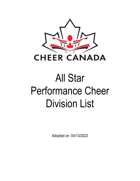

# All Star Performance Cheer Division List

Adopted on: 04/13/2022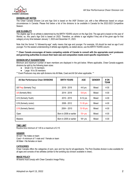

# **DIVISION LIST NOTES**

The Cheer Canada Division List and Age Grid is based on the IASF Division List, with a few differences based on unique circumstances in Canada. Please find below a list of the divisions to be available in Canada for the 2022-2023 Competitive Season.

# **AGE ELIGIBILITY**

The eligible age for an athlete is determined by the BIRTH YEARS column on the Age Grid. The age grid is based on the year of Worlds; so, this year's Age Grid is based on 2023. Therefore, an athlete is age eligible if they are of the given age for that category at any time between January 1, 2023 and December 31, 2023.

Note that the format "U followed-by-age" really means that age and younger. For example, U8 should be read as age 8 and younger. For the easiest understanding of athlete age eligibility, as stated above, use the BIRTH YEARS column.

## \*\* Cheer Canada encourages all teams competing outside of Canada to consult with the appropriate event producers **and governing authorities to ensure their team size and composition meets event specific requirements. \*\***

## **DIVISION SPLIT SUGGESTIONS**

Minimum and maximum number of team members are displayed in the grid below. Where applicable, Cheer Canada suggests divisions be split by the following team sizes:

- Small: 4 to 15 members
- Large: 16 to 30 members

\*\* Event Producers may also split divisions into All Male, Coed and All Girl when applicable. \*\*

| All Star Performance Cheer DIVISIONS | <b>BIRTH YEARS</b>      | <b>AGE</b> | <b>GENDER</b> | # ON<br><b>TEAM</b> |
|--------------------------------------|-------------------------|------------|---------------|---------------------|
| U6 Prep (formerly Tiny)              | 2016 - 2019             | $4-6$ yrs  | Mixed         | $4 - 30$            |
| U8 (formerly Mini)                   | 2014 - 2018             | $5-8$ yrs  | Mixed         | 4-30                |
| U12 (formerly Youth)                 | 2010 - 2015             | 8-12 yrs   | Mixed         | 4-30                |
| U16 (formerly Junior)                | 2006 - 2012             | 11-16 yrs  | Mixed         | 4-30                |
| U18 (formerly Senior)                | $2004 - 2010$           | 13-18 yrs  | Mixed         | 4-30                |
| Open                                 | Born in 2008 or earlier | $15+$ yrs  | Mixed         | 4-30                |
| <b>Masters</b>                       | Born in 2005 or earlier | $18 + yrs$ | Mixed         | 4-30                |

## **TIME LIMIT**

Routine time minimum of 1:45 to a maximum of 2:15

# **GENDER**

All Girl = No males on team Coed = A minimum of 1 male and 1 female on team All Male = No females on team

# **CATEGORIES**

Cheer Canada offers the categories of pom, jazz and hip hop for all ages/teams. The Pom Doubles division is also available for all ages and consists of two athletes (similar to the tumbling duo division available in cheer).

## **IMAGE POLICY**

All teams must comply with Cheer Canada's Image Policy.